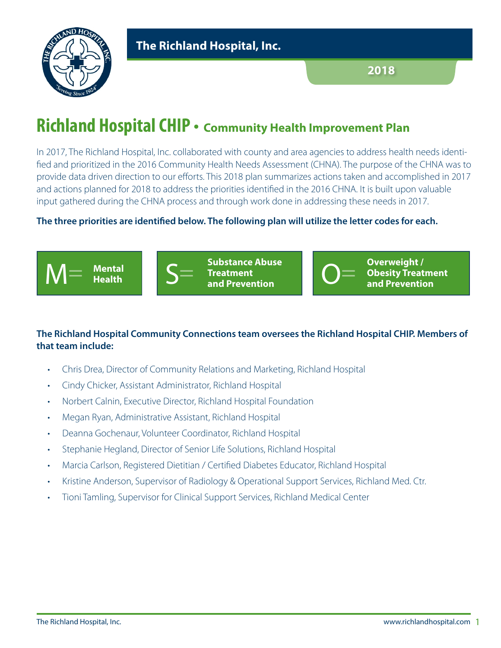

# **Richland Hospital CHIP** • **Community Health Improvement Plan**

In 2017, The Richland Hospital, Inc. collaborated with county and area agencies to address health needs identified and prioritized in the 2016 Community Health Needs Assessment (CHNA). The purpose of the CHNA was to provide data driven direction to our efforts. This 2018 plan summarizes actions taken and accomplished in 2017 and actions planned for 2018 to address the priorities identified in the 2016 CHNA. It is built upon valuable input gathered during the CHNA process and through work done in addressing these needs in 2017.

## **The three priorities are identified below. The following plan will utilize the letter codes for each.**



## **The Richland Hospital Community Connections team oversees the Richland Hospital CHIP. Members of that team include:**

- Chris Drea, Director of Community Relations and Marketing, Richland Hospital
- Cindy Chicker, Assistant Administrator, Richland Hospital
- Norbert Calnin, Executive Director, Richland Hospital Foundation
- Megan Ryan, Administrative Assistant, Richland Hospital
- Deanna Gochenaur, Volunteer Coordinator, Richland Hospital
- Stephanie Hegland, Director of Senior Life Solutions, Richland Hospital
- Marcia Carlson, Registered Dietitian / Certified Diabetes Educator, Richland Hospital
- Kristine Anderson, Supervisor of Radiology & Operational Support Services, Richland Med. Ctr.
- Tioni Tamling, Supervisor for Clinical Support Services, Richland Medical Center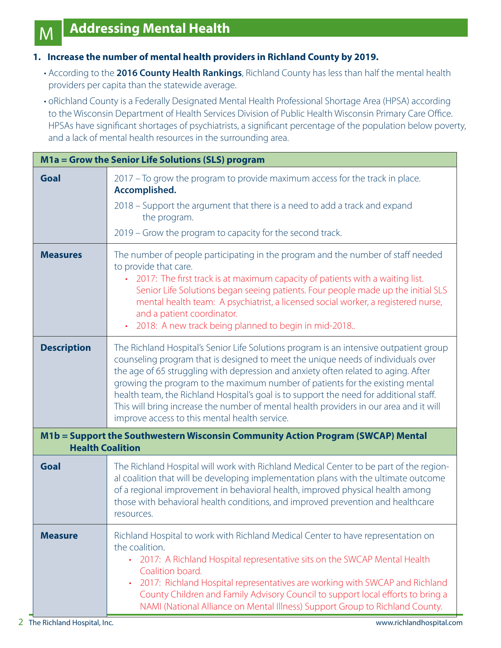M

#### **1. Increase the number of mental health providers in Richland County by 2019.**

- According to the **2016 County Health Rankings**, Richland County has less than half the mental health providers per capita than the statewide average.
- oRichland County is a Federally Designated Mental Health Professional Shortage Area (HPSA) according to the Wisconsin Department of Health Services Division of Public Health Wisconsin Primary Care Office. HPSAs have significant shortages of psychiatrists, a significant percentage of the population below poverty, and a lack of mental health resources in the surrounding area.

|                         | M1a = Grow the Senior Life Solutions (SLS) program                                                                                                                                                                                                                                                                                                                                                                                                                                                                                                                                     |
|-------------------------|----------------------------------------------------------------------------------------------------------------------------------------------------------------------------------------------------------------------------------------------------------------------------------------------------------------------------------------------------------------------------------------------------------------------------------------------------------------------------------------------------------------------------------------------------------------------------------------|
| Goal                    | 2017 – To grow the program to provide maximum access for the track in place.<br>Accomplished.<br>2018 – Support the argument that there is a need to add a track and expand<br>the program.<br>2019 – Grow the program to capacity for the second track.                                                                                                                                                                                                                                                                                                                               |
| <b>Measures</b>         | The number of people participating in the program and the number of staff needed<br>to provide that care.<br>• 2017: The first track is at maximum capacity of patients with a waiting list.<br>Senior Life Solutions began seeing patients. Four people made up the initial SLS<br>mental health team: A psychiatrist, a licensed social worker, a registered nurse,<br>and a patient coordinator.<br>2018: A new track being planned to begin in mid-2018<br>$\bullet$                                                                                                               |
| <b>Description</b>      | The Richland Hospital's Senior Life Solutions program is an intensive outpatient group<br>counseling program that is designed to meet the unique needs of individuals over<br>the age of 65 struggling with depression and anxiety often related to aging. After<br>growing the program to the maximum number of patients for the existing mental<br>health team, the Richland Hospital's goal is to support the need for additional staff.<br>This will bring increase the number of mental health providers in our area and it will<br>improve access to this mental health service. |
| <b>Health Coalition</b> | M1b = Support the Southwestern Wisconsin Community Action Program (SWCAP) Mental                                                                                                                                                                                                                                                                                                                                                                                                                                                                                                       |
| <b>Goal</b>             | The Richland Hospital will work with Richland Medical Center to be part of the region-<br>al coalition that will be developing implementation plans with the ultimate outcome<br>of a regional improvement in behavioral health, improved physical health among<br>those with behavioral health conditions, and improved prevention and healthcare<br>resources.                                                                                                                                                                                                                       |
| <b>Measure</b>          | Richland Hospital to work with Richland Medical Center to have representation on<br>the coalition.<br>2017: A Richland Hospital representative sits on the SWCAP Mental Health<br>$\bullet$<br>Coalition board.<br>2017: Richland Hospital representatives are working with SWCAP and Richland<br>County Children and Family Advisory Council to support local efforts to bring a<br>NAMI (National Alliance on Mental Illness) Support Group to Richland County.                                                                                                                      |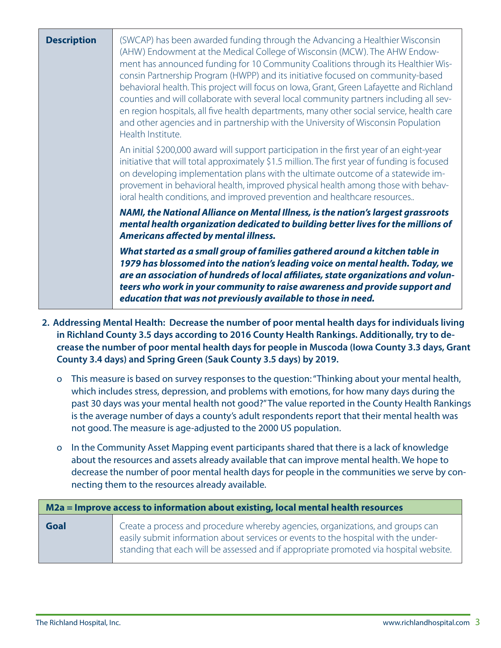| <b>Description</b> | (SWCAP) has been awarded funding through the Advancing a Healthier Wisconsin<br>(AHW) Endowment at the Medical College of Wisconsin (MCW). The AHW Endow-<br>ment has announced funding for 10 Community Coalitions through its Healthier Wis-<br>consin Partnership Program (HWPP) and its initiative focused on community-based<br>behavioral health. This project will focus on lowa, Grant, Green Lafayette and Richland<br>counties and will collaborate with several local community partners including all sev-<br>en region hospitals, all five health departments, many other social service, health care<br>and other agencies and in partnership with the University of Wisconsin Population<br>Health Institute. |
|--------------------|------------------------------------------------------------------------------------------------------------------------------------------------------------------------------------------------------------------------------------------------------------------------------------------------------------------------------------------------------------------------------------------------------------------------------------------------------------------------------------------------------------------------------------------------------------------------------------------------------------------------------------------------------------------------------------------------------------------------------|
|                    | An initial \$200,000 award will support participation in the first year of an eight-year<br>initiative that will total approximately \$1.5 million. The first year of funding is focused<br>on developing implementation plans with the ultimate outcome of a statewide im-<br>provement in behavioral health, improved physical health among those with behav-<br>ioral health conditions, and improved prevention and healthcare resources                                                                                                                                                                                                                                                                                 |
|                    | NAMI, the National Alliance on Mental Illness, is the nation's largest grassroots<br>mental health organization dedicated to building better lives for the millions of<br><b>Americans affected by mental illness.</b>                                                                                                                                                                                                                                                                                                                                                                                                                                                                                                       |
|                    | What started as a small group of families gathered around a kitchen table in<br>1979 has blossomed into the nation's leading voice on mental health. Today, we<br>are an association of hundreds of local affiliates, state organizations and volun-<br>teers who work in your community to raise awareness and provide support and<br>education that was not previously available to those in need.                                                                                                                                                                                                                                                                                                                         |

- **2. Addressing Mental Health: Decrease the number of poor mental health days for individuals living in Richland County 3.5 days according to 2016 County Health Rankings. Additionally, try to decrease the number of poor mental health days for people in Muscoda (Iowa County 3.3 days, Grant County 3.4 days) and Spring Green (Sauk County 3.5 days) by 2019.**
	- o This measure is based on survey responses to the question: "Thinking about your mental health, which includes stress, depression, and problems with emotions, for how many days during the past 30 days was your mental health not good?" The value reported in the County Health Rankings is the average number of days a county's adult respondents report that their mental health was not good. The measure is age-adjusted to the 2000 US population.
	- o In the Community Asset Mapping event participants shared that there is a lack of knowledge about the resources and assets already available that can improve mental health. We hope to decrease the number of poor mental health days for people in the communities we serve by connecting them to the resources already available.

| M2a = Improve access to information about existing, local mental health resources |                                                                                                                                                                                                                                                               |
|-----------------------------------------------------------------------------------|---------------------------------------------------------------------------------------------------------------------------------------------------------------------------------------------------------------------------------------------------------------|
| <b>Goal</b>                                                                       | Create a process and procedure whereby agencies, organizations, and groups can<br>easily submit information about services or events to the hospital with the under-<br>standing that each will be assessed and if appropriate promoted via hospital website. |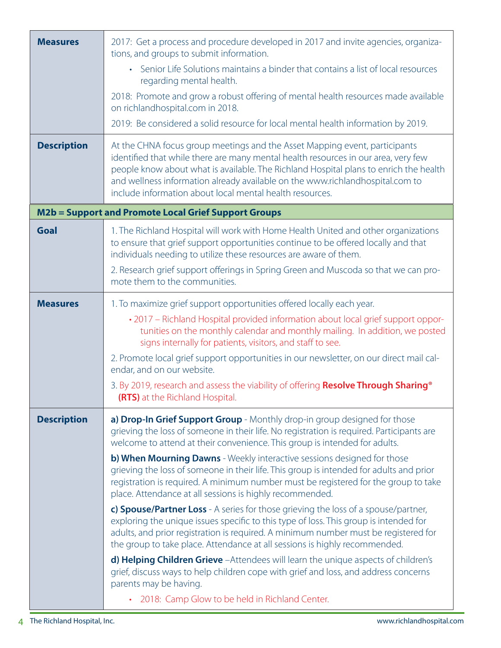| <b>Measures</b>    | 2017: Get a process and procedure developed in 2017 and invite agencies, organiza-<br>tions, and groups to submit information.<br>• Senior Life Solutions maintains a binder that contains a list of local resources<br>regarding mental health.<br>2018: Promote and grow a robust offering of mental health resources made available<br>on richlandhospital.com in 2018.<br>2019: Be considered a solid resource for local mental health information by 2019.                                                                                                                                                                                                                                                                                                                                                                                                                                                                                                                                                                                                                                                                                                                                         |
|--------------------|---------------------------------------------------------------------------------------------------------------------------------------------------------------------------------------------------------------------------------------------------------------------------------------------------------------------------------------------------------------------------------------------------------------------------------------------------------------------------------------------------------------------------------------------------------------------------------------------------------------------------------------------------------------------------------------------------------------------------------------------------------------------------------------------------------------------------------------------------------------------------------------------------------------------------------------------------------------------------------------------------------------------------------------------------------------------------------------------------------------------------------------------------------------------------------------------------------|
| <b>Description</b> | At the CHNA focus group meetings and the Asset Mapping event, participants<br>identified that while there are many mental health resources in our area, very few<br>people know about what is available. The Richland Hospital plans to enrich the health<br>and wellness information already available on the www.richlandhospital.com to<br>include information about local mental health resources.                                                                                                                                                                                                                                                                                                                                                                                                                                                                                                                                                                                                                                                                                                                                                                                                  |
|                    | <b>M2b = Support and Promote Local Grief Support Groups</b>                                                                                                                                                                                                                                                                                                                                                                                                                                                                                                                                                                                                                                                                                                                                                                                                                                                                                                                                                                                                                                                                                                                                             |
| <b>Goal</b>        | 1. The Richland Hospital will work with Home Health United and other organizations<br>to ensure that grief support opportunities continue to be offered locally and that<br>individuals needing to utilize these resources are aware of them.<br>2. Research grief support offerings in Spring Green and Muscoda so that we can pro-<br>mote them to the communities.                                                                                                                                                                                                                                                                                                                                                                                                                                                                                                                                                                                                                                                                                                                                                                                                                                   |
| <b>Measures</b>    | 1. To maximize grief support opportunities offered locally each year.<br>. 2017 - Richland Hospital provided information about local grief support oppor-<br>tunities on the monthly calendar and monthly mailing. In addition, we posted<br>signs internally for patients, visitors, and staff to see.<br>2. Promote local grief support opportunities in our newsletter, on our direct mail cal-<br>endar, and on our website.<br>3. By 2019, research and assess the viability of offering Resolve Through Sharing <sup>®</sup><br>(RTS) at the Richland Hospital.                                                                                                                                                                                                                                                                                                                                                                                                                                                                                                                                                                                                                                   |
| <b>Description</b> | a) Drop-In Grief Support Group - Monthly drop-in group designed for those<br>grieving the loss of someone in their life. No registration is required. Participants are<br>welcome to attend at their convenience. This group is intended for adults.<br>b) When Mourning Dawns - Weekly interactive sessions designed for those<br>grieving the loss of someone in their life. This group is intended for adults and prior<br>registration is required. A minimum number must be registered for the group to take<br>place. Attendance at all sessions is highly recommended.<br>c) Spouse/Partner Loss - A series for those grieving the loss of a spouse/partner,<br>exploring the unique issues specific to this type of loss. This group is intended for<br>adults, and prior registration is required. A minimum number must be registered for<br>the group to take place. Attendance at all sessions is highly recommended.<br>d) Helping Children Grieve - Attendees will learn the unique aspects of children's<br>grief, discuss ways to help children cope with grief and loss, and address concerns<br>parents may be having.<br>2018: Camp Glow to be held in Richland Center.<br>$\bullet$ |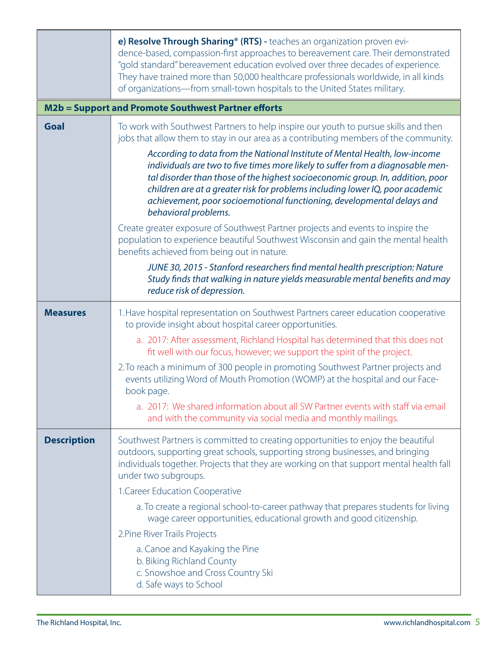|                    | e) Resolve Through Sharing® (RTS) - teaches an organization proven evi-<br>dence-based, compassion-first approaches to bereavement care. Their demonstrated<br>"gold standard" bereavement education evolved over three decades of experience.<br>They have trained more than 50,000 healthcare professionals worldwide, in all kinds<br>of organizations-from small-town hospitals to the United States military.                 |
|--------------------|------------------------------------------------------------------------------------------------------------------------------------------------------------------------------------------------------------------------------------------------------------------------------------------------------------------------------------------------------------------------------------------------------------------------------------|
|                    | M2b = Support and Promote Southwest Partner efforts                                                                                                                                                                                                                                                                                                                                                                                |
| Goal               | To work with Southwest Partners to help inspire our youth to pursue skills and then<br>jobs that allow them to stay in our area as a contributing members of the community.                                                                                                                                                                                                                                                        |
|                    | According to data from the National Institute of Mental Health, low-income<br>individuals are two to five times more likely to suffer from a diagnosable men-<br>tal disorder than those of the highest socioeconomic group. In, addition, poor<br>children are at a greater risk for problems including lower IQ, poor academic<br>achievement, poor socioemotional functioning, developmental delays and<br>behavioral problems. |
|                    | Create greater exposure of Southwest Partner projects and events to inspire the<br>population to experience beautiful Southwest Wisconsin and gain the mental health<br>benefits achieved from being out in nature.                                                                                                                                                                                                                |
|                    | JUNE 30, 2015 - Stanford researchers find mental health prescription: Nature<br>Study finds that walking in nature yields measurable mental benefits and may<br>reduce risk of depression.                                                                                                                                                                                                                                         |
| <b>Measures</b>    | 1. Have hospital representation on Southwest Partners career education cooperative<br>to provide insight about hospital career opportunities.                                                                                                                                                                                                                                                                                      |
|                    | a. 2017: After assessment, Richland Hospital has determined that this does not<br>fit well with our focus, however; we support the spirit of the project.                                                                                                                                                                                                                                                                          |
|                    | 2. To reach a minimum of 300 people in promoting Southwest Partner projects and<br>events utilizing Word of Mouth Promotion (WOMP) at the hospital and our Face-<br>book page.                                                                                                                                                                                                                                                     |
|                    | a. 2017: We shared information about all SW Partner events with staff via email<br>and with the community via social media and monthly mailings.                                                                                                                                                                                                                                                                                   |
| <b>Description</b> | Southwest Partners is committed to creating opportunities to enjoy the beautiful<br>outdoors, supporting great schools, supporting strong businesses, and bringing<br>individuals together. Projects that they are working on that support mental health fall<br>under two subgroups.                                                                                                                                              |
|                    | 1. Career Education Cooperative                                                                                                                                                                                                                                                                                                                                                                                                    |
|                    | a. To create a regional school-to-career pathway that prepares students for living<br>wage career opportunities, educational growth and good citizenship.                                                                                                                                                                                                                                                                          |
|                    | 2. Pine River Trails Projects                                                                                                                                                                                                                                                                                                                                                                                                      |
|                    | a. Canoe and Kayaking the Pine<br>b. Biking Richland County<br>c. Snowshoe and Cross Country Ski<br>d. Safe ways to School                                                                                                                                                                                                                                                                                                         |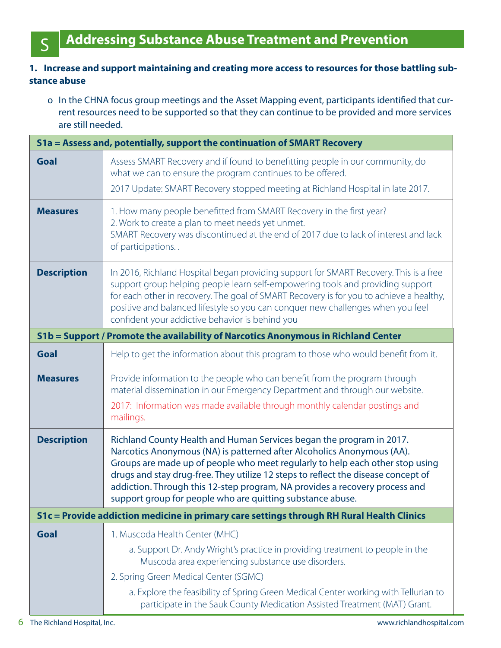## **1. Increase and support maintaining and creating more access to resources for those battling substance abuse**

o In the CHNA focus group meetings and the Asset Mapping event, participants identified that current resources need to be supported so that they can continue to be provided and more services are still needed.

|                    | S1a = Assess and, potentially, support the continuation of SMART Recovery                                                                                                                                                                                                                                                                                                                                                                                         |
|--------------------|-------------------------------------------------------------------------------------------------------------------------------------------------------------------------------------------------------------------------------------------------------------------------------------------------------------------------------------------------------------------------------------------------------------------------------------------------------------------|
| Goal               | Assess SMART Recovery and if found to benefitting people in our community, do<br>what we can to ensure the program continues to be offered.<br>2017 Update: SMART Recovery stopped meeting at Richland Hospital in late 2017.                                                                                                                                                                                                                                     |
| <b>Measures</b>    | 1. How many people benefitted from SMART Recovery in the first year?<br>2. Work to create a plan to meet needs yet unmet.<br>SMART Recovery was discontinued at the end of 2017 due to lack of interest and lack<br>of participations                                                                                                                                                                                                                             |
| <b>Description</b> | In 2016, Richland Hospital began providing support for SMART Recovery. This is a free<br>support group helping people learn self-empowering tools and providing support<br>for each other in recovery. The goal of SMART Recovery is for you to achieve a healthy,<br>positive and balanced lifestyle so you can conquer new challenges when you feel<br>confident your addictive behavior is behind you                                                          |
|                    | S1b = Support / Promote the availability of Narcotics Anonymous in Richland Center                                                                                                                                                                                                                                                                                                                                                                                |
| <b>Goal</b>        | Help to get the information about this program to those who would benefit from it.                                                                                                                                                                                                                                                                                                                                                                                |
| <b>Measures</b>    | Provide information to the people who can benefit from the program through<br>material dissemination in our Emergency Department and through our website.<br>2017: Information was made available through monthly calendar postings and<br>mailings.                                                                                                                                                                                                              |
| <b>Description</b> | Richland County Health and Human Services began the program in 2017.<br>Narcotics Anonymous (NA) is patterned after Alcoholics Anonymous (AA).<br>Groups are made up of people who meet regularly to help each other stop using<br>drugs and stay drug-free. They utilize 12 steps to reflect the disease concept of<br>addiction. Through this 12-step program, NA provides a recovery process and<br>support group for people who are quitting substance abuse. |
|                    | S1c = Provide addiction medicine in primary care settings through RH Rural Health Clinics                                                                                                                                                                                                                                                                                                                                                                         |
| Goal               | 1. Muscoda Health Center (MHC)<br>a. Support Dr. Andy Wright's practice in providing treatment to people in the<br>Muscoda area experiencing substance use disorders.<br>2. Spring Green Medical Center (SGMC)<br>a. Explore the feasibility of Spring Green Medical Center working with Tellurian to<br>participate in the Sauk County Medication Assisted Treatment (MAT) Grant.                                                                                |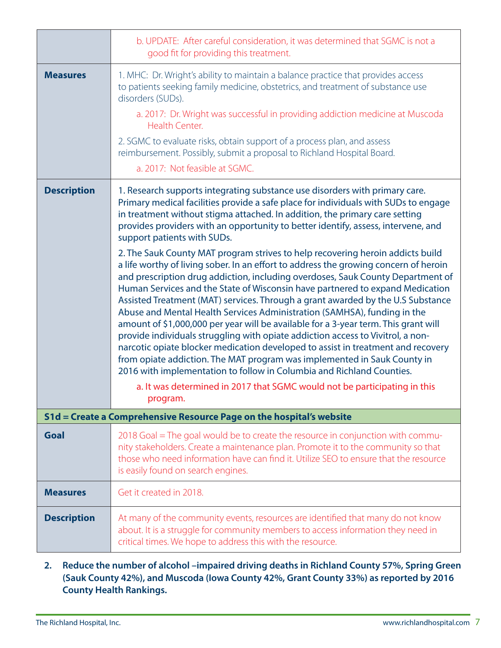|                    | b. UPDATE: After careful consideration, it was determined that SGMC is not a<br>good fit for providing this treatment.                                                                                                                                                                                                                                                                                                                                                                                                                                                                                                                                                                                                                                                                                                                                                                                                                                                                                                                                                                                                                                                                                                                                                                                                                                                                         |
|--------------------|------------------------------------------------------------------------------------------------------------------------------------------------------------------------------------------------------------------------------------------------------------------------------------------------------------------------------------------------------------------------------------------------------------------------------------------------------------------------------------------------------------------------------------------------------------------------------------------------------------------------------------------------------------------------------------------------------------------------------------------------------------------------------------------------------------------------------------------------------------------------------------------------------------------------------------------------------------------------------------------------------------------------------------------------------------------------------------------------------------------------------------------------------------------------------------------------------------------------------------------------------------------------------------------------------------------------------------------------------------------------------------------------|
| <b>Measures</b>    | 1. MHC: Dr. Wright's ability to maintain a balance practice that provides access<br>to patients seeking family medicine, obstetrics, and treatment of substance use<br>disorders (SUDs).<br>a. 2017: Dr. Wright was successful in providing addiction medicine at Muscoda<br>Health Center.<br>2. SGMC to evaluate risks, obtain support of a process plan, and assess<br>reimbursement. Possibly, submit a proposal to Richland Hospital Board.<br>a. 2017: Not feasible at SGMC.                                                                                                                                                                                                                                                                                                                                                                                                                                                                                                                                                                                                                                                                                                                                                                                                                                                                                                             |
| <b>Description</b> | 1. Research supports integrating substance use disorders with primary care.<br>Primary medical facilities provide a safe place for individuals with SUDs to engage<br>in treatment without stigma attached. In addition, the primary care setting<br>provides providers with an opportunity to better identify, assess, intervene, and<br>support patients with SUDs.<br>2. The Sauk County MAT program strives to help recovering heroin addicts build<br>a life worthy of living sober. In an effort to address the growing concern of heroin<br>and prescription drug addiction, including overdoses, Sauk County Department of<br>Human Services and the State of Wisconsin have partnered to expand Medication<br>Assisted Treatment (MAT) services. Through a grant awarded by the U.S Substance<br>Abuse and Mental Health Services Administration (SAMHSA), funding in the<br>amount of \$1,000,000 per year will be available for a 3-year term. This grant will<br>provide individuals struggling with opiate addiction access to Vivitrol, a non-<br>narcotic opiate blocker medication developed to assist in treatment and recovery<br>from opiate addiction. The MAT program was implemented in Sauk County in<br>2016 with implementation to follow in Columbia and Richland Counties.<br>a. It was determined in 2017 that SGMC would not be participating in this<br>program. |
|                    | S1d = Create a Comprehensive Resource Page on the hospital's website                                                                                                                                                                                                                                                                                                                                                                                                                                                                                                                                                                                                                                                                                                                                                                                                                                                                                                                                                                                                                                                                                                                                                                                                                                                                                                                           |
| Goal               | 2018 Goal = The goal would be to create the resource in conjunction with commu-<br>nity stakeholders. Create a maintenance plan. Promote it to the community so that<br>those who need information have can find it. Utilize SEO to ensure that the resource<br>is easily found on search engines.                                                                                                                                                                                                                                                                                                                                                                                                                                                                                                                                                                                                                                                                                                                                                                                                                                                                                                                                                                                                                                                                                             |
| <b>Measures</b>    | Get it created in 2018.                                                                                                                                                                                                                                                                                                                                                                                                                                                                                                                                                                                                                                                                                                                                                                                                                                                                                                                                                                                                                                                                                                                                                                                                                                                                                                                                                                        |
| <b>Description</b> | At many of the community events, resources are identified that many do not know<br>about. It is a struggle for community members to access information they need in<br>critical times. We hope to address this with the resource.                                                                                                                                                                                                                                                                                                                                                                                                                                                                                                                                                                                                                                                                                                                                                                                                                                                                                                                                                                                                                                                                                                                                                              |

**2. Reduce the number of alcohol –impaired driving deaths in Richland County 57%, Spring Green (Sauk County 42%), and Muscoda (Iowa County 42%, Grant County 33%) as reported by 2016 County Health Rankings.**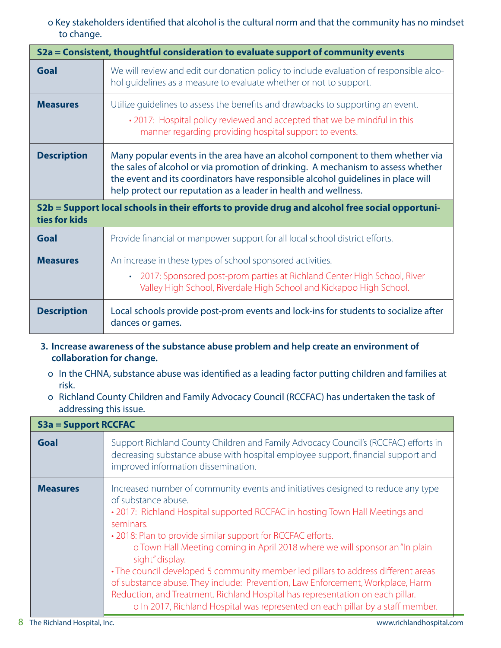## o Key stakeholders identified that alcohol is the cultural norm and that the community has no mindset to change.

|                                                                                                                  | S2a = Consistent, thoughtful consideration to evaluate support of community events                                                                                                                                                                                                                                       |  |
|------------------------------------------------------------------------------------------------------------------|--------------------------------------------------------------------------------------------------------------------------------------------------------------------------------------------------------------------------------------------------------------------------------------------------------------------------|--|
| Goal                                                                                                             | We will review and edit our donation policy to include evaluation of responsible alco-<br>hol quidelines as a measure to evaluate whether or not to support.                                                                                                                                                             |  |
| <b>Measures</b>                                                                                                  | Utilize guidelines to assess the benefits and drawbacks to supporting an event.<br>• 2017: Hospital policy reviewed and accepted that we be mindful in this<br>manner regarding providing hospital support to events.                                                                                                    |  |
| <b>Description</b>                                                                                               | Many popular events in the area have an alcohol component to them whether via<br>the sales of alcohol or via promotion of drinking. A mechanism to assess whether<br>the event and its coordinators have responsible alcohol guidelines in place will<br>help protect our reputation as a leader in health and wellness. |  |
| S2b = Support local schools in their efforts to provide drug and alcohol free social opportuni-<br>ties for kids |                                                                                                                                                                                                                                                                                                                          |  |
| Goal                                                                                                             | Provide financial or manpower support for all local school district efforts.                                                                                                                                                                                                                                             |  |
| <b>Measures</b>                                                                                                  | An increase in these types of school sponsored activities.<br>• 2017: Sponsored post-prom parties at Richland Center High School, River<br>Valley High School, Riverdale High School and Kickapoo High School.                                                                                                           |  |
| <b>Description</b>                                                                                               | Local schools provide post-prom events and lock-ins for students to socialize after<br>dances or games.                                                                                                                                                                                                                  |  |

- **3. Increase awareness of the substance abuse problem and help create an environment of collaboration for change.** 
	- o In the CHNA, substance abuse was identified as a leading factor putting children and families at risk.
	- o Richland County Children and Family Advocacy Council (RCCFAC) has undertaken the task of addressing this issue.

| <b>S3a = Support RCCFAC</b> |                                                                                                                                                                                                                                                                                                                                                                                                                                                                                                                                                                                                                                                                                                                  |
|-----------------------------|------------------------------------------------------------------------------------------------------------------------------------------------------------------------------------------------------------------------------------------------------------------------------------------------------------------------------------------------------------------------------------------------------------------------------------------------------------------------------------------------------------------------------------------------------------------------------------------------------------------------------------------------------------------------------------------------------------------|
| <b>Goal</b>                 | Support Richland County Children and Family Advocacy Council's (RCCFAC) efforts in<br>decreasing substance abuse with hospital employee support, financial support and<br>improved information dissemination.                                                                                                                                                                                                                                                                                                                                                                                                                                                                                                    |
| <b>Measures</b>             | Increased number of community events and initiatives designed to reduce any type<br>of substance abuse.<br>• 2017: Richland Hospital supported RCCFAC in hosting Town Hall Meetings and<br>seminars.<br>• 2018: Plan to provide similar support for RCCFAC efforts.<br>o Town Hall Meeting coming in April 2018 where we will sponsor an "In plain<br>sight" display.<br>• The council developed 5 community member led pillars to address different areas<br>of substance abuse. They include: Prevention, Law Enforcement, Workplace, Harm<br>Reduction, and Treatment. Richland Hospital has representation on each pillar.<br>o In 2017, Richland Hospital was represented on each pillar by a staff member. |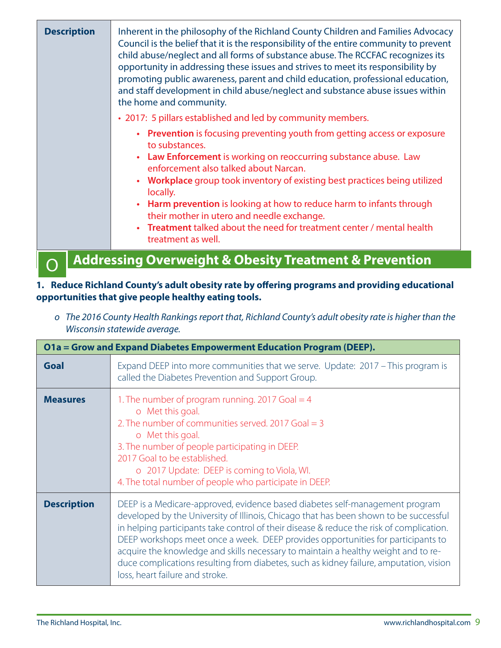| <b>Description</b> | Inherent in the philosophy of the Richland County Children and Families Advocacy<br>Council is the belief that it is the responsibility of the entire community to prevent<br>child abuse/neglect and all forms of substance abuse. The RCCFAC recognizes its<br>opportunity in addressing these issues and strives to meet its responsibility by<br>promoting public awareness, parent and child education, professional education,<br>and staff development in child abuse/neglect and substance abuse issues within<br>the home and community. |
|--------------------|---------------------------------------------------------------------------------------------------------------------------------------------------------------------------------------------------------------------------------------------------------------------------------------------------------------------------------------------------------------------------------------------------------------------------------------------------------------------------------------------------------------------------------------------------|
|                    | • 2017: 5 pillars established and led by community members.                                                                                                                                                                                                                                                                                                                                                                                                                                                                                       |
|                    | • Prevention is focusing preventing youth from getting access or exposure<br>to substances.<br><b>Law Enforcement</b> is working on reoccurring substance abuse. Law<br>enforcement also talked about Narcan.                                                                                                                                                                                                                                                                                                                                     |
|                    | Workplace group took inventory of existing best practices being utilized<br>locally.                                                                                                                                                                                                                                                                                                                                                                                                                                                              |
|                    | • Harm prevention is looking at how to reduce harm to infants through<br>their mother in utero and needle exchange.                                                                                                                                                                                                                                                                                                                                                                                                                               |
|                    | Treatment talked about the need for treatment center / mental health<br>treatment as well.                                                                                                                                                                                                                                                                                                                                                                                                                                                        |
|                    | <b>Addressing Overweight &amp; Obesity Treatment &amp; Prevention</b>                                                                                                                                                                                                                                                                                                                                                                                                                                                                             |

# **1. Reduce Richland County's adult obesity rate by offering programs and providing educational opportunities that give people healthy eating tools.**

| Wisconsin statewide average. |                                                                                                                                                                                                                                                                                                                                                                                                                                                                                                                                                                          |
|------------------------------|--------------------------------------------------------------------------------------------------------------------------------------------------------------------------------------------------------------------------------------------------------------------------------------------------------------------------------------------------------------------------------------------------------------------------------------------------------------------------------------------------------------------------------------------------------------------------|
|                              | O1a = Grow and Expand Diabetes Empowerment Education Program (DEEP).                                                                                                                                                                                                                                                                                                                                                                                                                                                                                                     |
| <b>Goal</b>                  | Expand DEEP into more communities that we serve. Update: 2017 - This program is<br>called the Diabetes Prevention and Support Group.                                                                                                                                                                                                                                                                                                                                                                                                                                     |
| <b>Measures</b>              | 1. The number of program running. 2017 Goal $=$ 4<br>o Met this goal.<br>2. The number of communities served. 2017 Goal $=$ 3<br>o Met this goal.<br>3. The number of people participating in DEEP.<br>2017 Goal to be established.<br>o 2017 Update: DEEP is coming to Viola, WI.<br>4. The total number of people who participate in DEEP.                                                                                                                                                                                                                             |
| <b>Description</b>           | DEEP is a Medicare-approved, evidence based diabetes self-management program<br>developed by the University of Illinois, Chicago that has been shown to be successful<br>in helping participants take control of their disease & reduce the risk of complication.<br>DEEP workshops meet once a week. DEEP provides opportunities for participants to<br>acquire the knowledge and skills necessary to maintain a healthy weight and to re-<br>duce complications resulting from diabetes, such as kidney failure, amputation, vision<br>loss, heart failure and stroke. |
|                              |                                                                                                                                                                                                                                                                                                                                                                                                                                                                                                                                                                          |

*o The 2016 County Health Rankings report that, Richland County's adult obesity rate is higher than the Wisconsin statewide average.*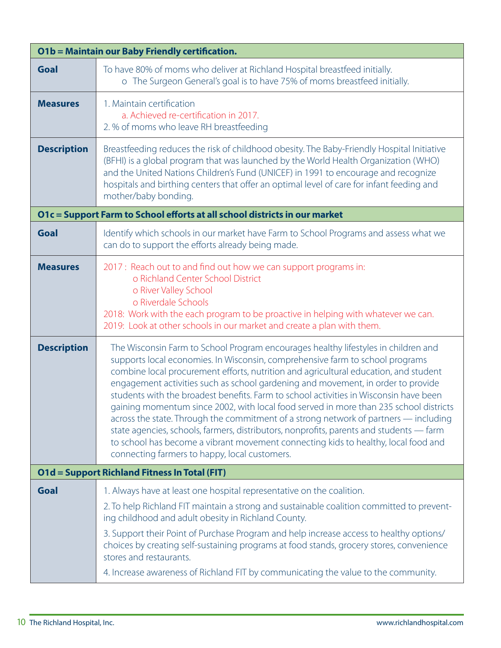| <b>O1b = Maintain our Baby Friendly certification.</b> |                                                                                                                                                                                                                                                                                                                                                                                                                                                                                                                                                                                                                                                                                                                                                                                                                                                             |  |
|--------------------------------------------------------|-------------------------------------------------------------------------------------------------------------------------------------------------------------------------------------------------------------------------------------------------------------------------------------------------------------------------------------------------------------------------------------------------------------------------------------------------------------------------------------------------------------------------------------------------------------------------------------------------------------------------------------------------------------------------------------------------------------------------------------------------------------------------------------------------------------------------------------------------------------|--|
| <b>Goal</b>                                            | To have 80% of moms who deliver at Richland Hospital breastfeed initially.<br>o The Surgeon General's goal is to have 75% of moms breastfeed initially.                                                                                                                                                                                                                                                                                                                                                                                                                                                                                                                                                                                                                                                                                                     |  |
| <b>Measures</b>                                        | 1. Maintain certification<br>a. Achieved re-certification in 2017.<br>2. % of moms who leave RH breastfeeding                                                                                                                                                                                                                                                                                                                                                                                                                                                                                                                                                                                                                                                                                                                                               |  |
| <b>Description</b>                                     | Breastfeeding reduces the risk of childhood obesity. The Baby-Friendly Hospital Initiative<br>(BFHI) is a global program that was launched by the World Health Organization (WHO)<br>and the United Nations Children's Fund (UNICEF) in 1991 to encourage and recognize<br>hospitals and birthing centers that offer an optimal level of care for infant feeding and<br>mother/baby bonding.                                                                                                                                                                                                                                                                                                                                                                                                                                                                |  |
|                                                        | O1c = Support Farm to School efforts at all school districts in our market                                                                                                                                                                                                                                                                                                                                                                                                                                                                                                                                                                                                                                                                                                                                                                                  |  |
| Goal                                                   | Identify which schools in our market have Farm to School Programs and assess what we<br>can do to support the efforts already being made.                                                                                                                                                                                                                                                                                                                                                                                                                                                                                                                                                                                                                                                                                                                   |  |
| <b>Measures</b>                                        | 2017: Reach out to and find out how we can support programs in:<br>o Richland Center School District<br>o River Valley School<br>o Riverdale Schools<br>2018: Work with the each program to be proactive in helping with whatever we can.<br>2019: Look at other schools in our market and create a plan with them.                                                                                                                                                                                                                                                                                                                                                                                                                                                                                                                                         |  |
| <b>Description</b>                                     | The Wisconsin Farm to School Program encourages healthy lifestyles in children and<br>supports local economies. In Wisconsin, comprehensive farm to school programs<br>combine local procurement efforts, nutrition and agricultural education, and student<br>engagement activities such as school gardening and movement, in order to provide<br>students with the broadest benefits. Farm to school activities in Wisconsin have been<br>gaining momentum since 2002, with local food served in more than 235 school districts<br>across the state. Through the commitment of a strong network of partners — including<br>state agencies, schools, farmers, distributors, nonprofits, parents and students — farm<br>to school has become a vibrant movement connecting kids to healthy, local food and<br>connecting farmers to happy, local customers. |  |
|                                                        | <b>O1d = Support Richland Fitness In Total (FIT)</b>                                                                                                                                                                                                                                                                                                                                                                                                                                                                                                                                                                                                                                                                                                                                                                                                        |  |
| Goal                                                   | 1. Always have at least one hospital representative on the coalition.<br>2. To help Richland FIT maintain a strong and sustainable coalition committed to prevent-<br>ing childhood and adult obesity in Richland County.<br>3. Support their Point of Purchase Program and help increase access to healthy options/<br>choices by creating self-sustaining programs at food stands, grocery stores, convenience<br>stores and restaurants.<br>4. Increase awareness of Richland FIT by communicating the value to the community.                                                                                                                                                                                                                                                                                                                           |  |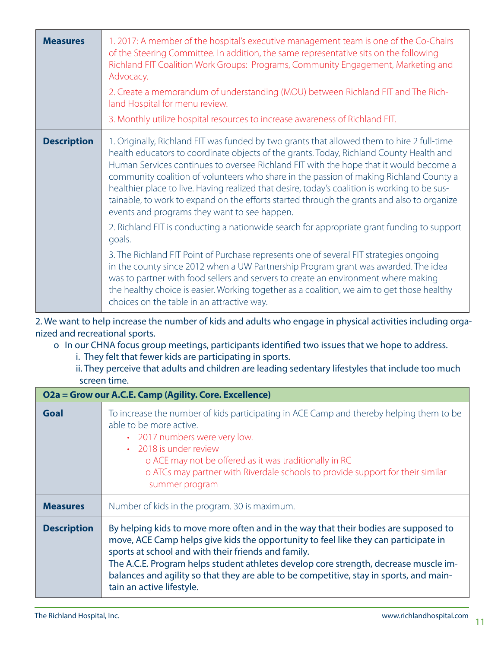| <b>Measures</b>    | 1. 2017: A member of the hospital's executive management team is one of the Co-Chairs<br>of the Steering Committee. In addition, the same representative sits on the following<br>Richland FIT Coalition Work Groups: Programs, Community Engagement, Marketing and<br>Advocacy.<br>2. Create a memorandum of understanding (MOU) between Richland FIT and The Rich-<br>land Hospital for menu review.<br>3. Monthly utilize hospital resources to increase awareness of Richland FIT.                                                                                                                                  |
|--------------------|-------------------------------------------------------------------------------------------------------------------------------------------------------------------------------------------------------------------------------------------------------------------------------------------------------------------------------------------------------------------------------------------------------------------------------------------------------------------------------------------------------------------------------------------------------------------------------------------------------------------------|
| <b>Description</b> | 1. Originally, Richland FIT was funded by two grants that allowed them to hire 2 full-time<br>health educators to coordinate objects of the grants. Today, Richland County Health and<br>Human Services continues to oversee Richland FIT with the hope that it would become a<br>community coalition of volunteers who share in the passion of making Richland County a<br>healthier place to live. Having realized that desire, today's coalition is working to be sus-<br>tainable, to work to expand on the efforts started through the grants and also to organize<br>events and programs they want to see happen. |
|                    | 2. Richland FIT is conducting a nationwide search for appropriate grant funding to support<br>goals.<br>3. The Richland FIT Point of Purchase represents one of several FIT strategies ongoing<br>in the county since 2012 when a UW Partnership Program grant was awarded. The idea<br>was to partner with food sellers and servers to create an environment where making<br>the healthy choice is easier. Working together as a coalition, we aim to get those healthy                                                                                                                                                |
|                    | choices on the table in an attractive way.                                                                                                                                                                                                                                                                                                                                                                                                                                                                                                                                                                              |

2. We want to help increase the number of kids and adults who engage in physical activities including organized and recreational sports.

o In our CHNA focus group meetings, participants identified two issues that we hope to address.

i. They felt that fewer kids are participating in sports.

ii. They perceive that adults and children are leading sedentary lifestyles that include too much screen time.

| O2a = Grow our A.C.E. Camp (Agility. Core. Excellence) |                                                                                                                                                                                                                                                                                                                                                                                                                                                   |  |
|--------------------------------------------------------|---------------------------------------------------------------------------------------------------------------------------------------------------------------------------------------------------------------------------------------------------------------------------------------------------------------------------------------------------------------------------------------------------------------------------------------------------|--|
| Goal                                                   | To increase the number of kids participating in ACE Camp and thereby helping them to be<br>able to be more active.<br>• 2017 numbers were very low.<br>• 2018 is under review<br>o ACE may not be offered as it was traditionally in RC<br>o ATCs may partner with Riverdale schools to provide support for their similar<br>summer program                                                                                                       |  |
| <b>Measures</b>                                        | Number of kids in the program. 30 is maximum.                                                                                                                                                                                                                                                                                                                                                                                                     |  |
| <b>Description</b>                                     | By helping kids to move more often and in the way that their bodies are supposed to<br>move, ACE Camp helps give kids the opportunity to feel like they can participate in<br>sports at school and with their friends and family.<br>The A.C.E. Program helps student athletes develop core strength, decrease muscle im-<br>balances and agility so that they are able to be competitive, stay in sports, and main-<br>tain an active lifestyle. |  |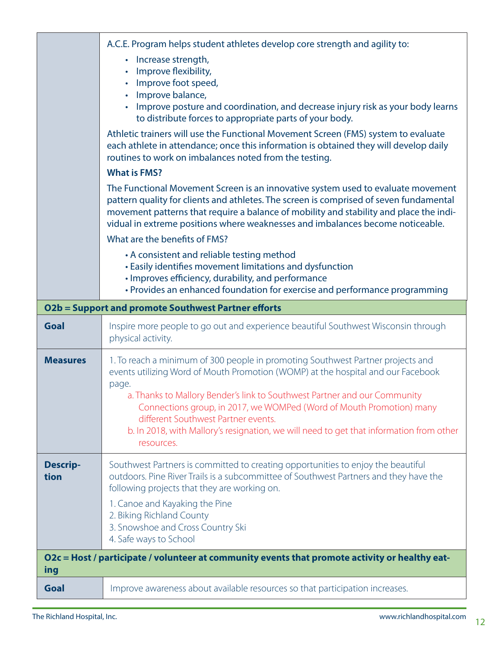|                                                                                                       | A.C.E. Program helps student athletes develop core strength and agility to:<br>• Increase strength,<br>Improve flexibility,<br>Improve foot speed,<br>$\bullet$<br>Improve balance,<br>Improve posture and coordination, and decrease injury risk as your body learns<br>$\bullet$<br>to distribute forces to appropriate parts of your body.<br>Athletic trainers will use the Functional Movement Screen (FMS) system to evaluate<br>each athlete in attendance; once this information is obtained they will develop daily<br>routines to work on imbalances noted from the testing.<br><b>What is FMS?</b><br>The Functional Movement Screen is an innovative system used to evaluate movement<br>pattern quality for clients and athletes. The screen is comprised of seven fundamental<br>movement patterns that require a balance of mobility and stability and place the indi-<br>vidual in extreme positions where weaknesses and imbalances become noticeable.<br>What are the benefits of FMS?<br>• A consistent and reliable testing method<br>• Easily identifies movement limitations and dysfunction<br>· Improves efficiency, durability, and performance |  |
|-------------------------------------------------------------------------------------------------------|--------------------------------------------------------------------------------------------------------------------------------------------------------------------------------------------------------------------------------------------------------------------------------------------------------------------------------------------------------------------------------------------------------------------------------------------------------------------------------------------------------------------------------------------------------------------------------------------------------------------------------------------------------------------------------------------------------------------------------------------------------------------------------------------------------------------------------------------------------------------------------------------------------------------------------------------------------------------------------------------------------------------------------------------------------------------------------------------------------------------------------------------------------------------------|--|
|                                                                                                       | • Provides an enhanced foundation for exercise and performance programming<br>O2b = Support and promote Southwest Partner efforts                                                                                                                                                                                                                                                                                                                                                                                                                                                                                                                                                                                                                                                                                                                                                                                                                                                                                                                                                                                                                                        |  |
| <b>Goal</b>                                                                                           | Inspire more people to go out and experience beautiful Southwest Wisconsin through<br>physical activity.                                                                                                                                                                                                                                                                                                                                                                                                                                                                                                                                                                                                                                                                                                                                                                                                                                                                                                                                                                                                                                                                 |  |
| <b>Measures</b>                                                                                       | 1. To reach a minimum of 300 people in promoting Southwest Partner projects and<br>events utilizing Word of Mouth Promotion (WOMP) at the hospital and our Facebook<br>page.<br>a. Thanks to Mallory Bender's link to Southwest Partner and our Community<br>Connections group, in 2017, we WOMPed (Word of Mouth Promotion) many<br>different Southwest Partner events.<br>b. In 2018, with Mallory's resignation, we will need to get that information from other<br>resources.                                                                                                                                                                                                                                                                                                                                                                                                                                                                                                                                                                                                                                                                                        |  |
| <b>Descrip-</b><br>tion                                                                               | Southwest Partners is committed to creating opportunities to enjoy the beautiful<br>outdoors. Pine River Trails is a subcommittee of Southwest Partners and they have the<br>following projects that they are working on.<br>1. Canoe and Kayaking the Pine<br>2. Biking Richland County<br>3. Snowshoe and Cross Country Ski<br>4. Safe ways to School                                                                                                                                                                                                                                                                                                                                                                                                                                                                                                                                                                                                                                                                                                                                                                                                                  |  |
| O2c = Host / participate / volunteer at community events that promote activity or healthy eat-<br>ing |                                                                                                                                                                                                                                                                                                                                                                                                                                                                                                                                                                                                                                                                                                                                                                                                                                                                                                                                                                                                                                                                                                                                                                          |  |
| Goal                                                                                                  | Improve awareness about available resources so that participation increases.                                                                                                                                                                                                                                                                                                                                                                                                                                                                                                                                                                                                                                                                                                                                                                                                                                                                                                                                                                                                                                                                                             |  |